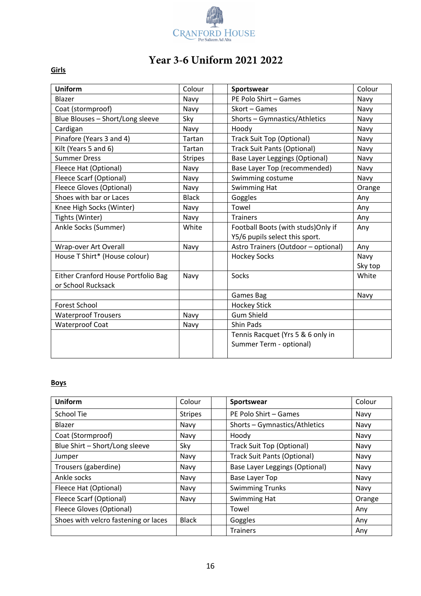

## **Year 3-6 Uniform 2021 2022**

## **Girls**

| <b>Uniform</b>                      | Colour         | Sportswear                                 | Colour  |
|-------------------------------------|----------------|--------------------------------------------|---------|
| Blazer                              | Navy           | PE Polo Shirt - Games<br>Navy              |         |
| Coat (stormproof)                   | Navy           | Skort - Games<br>Navy                      |         |
| Blue Blouses - Short/Long sleeve    | Sky            | Shorts - Gymnastics/Athletics<br>Navy      |         |
| Cardigan                            | Navy           | Hoody<br>Navy                              |         |
| Pinafore (Years 3 and 4)            | Tartan         | <b>Track Suit Top (Optional)</b><br>Navy   |         |
| Kilt (Years 5 and 6)                | Tartan         | <b>Track Suit Pants (Optional)</b><br>Navy |         |
| <b>Summer Dress</b>                 | <b>Stripes</b> | Base Layer Leggings (Optional)<br>Navy     |         |
| Fleece Hat (Optional)               | Navy           | Base Layer Top (recommended)               | Navy    |
| Fleece Scarf (Optional)             | Navy           | Swimming costume                           | Navy    |
| <b>Fleece Gloves (Optional)</b>     | Navy           | Swimming Hat                               | Orange  |
| Shoes with bar or Laces             | <b>Black</b>   | Goggles                                    | Any     |
| Knee High Socks (Winter)            | Navy           | Towel                                      | Any     |
| Tights (Winter)                     | Navy           | <b>Trainers</b>                            | Any     |
| Ankle Socks (Summer)                | White          | Football Boots (with studs)Only if         | Any     |
|                                     |                | Y5/6 pupils select this sport.             |         |
| Wrap-over Art Overall               | Navy           | Astro Trainers (Outdoor - optional)        | Any     |
| House T Shirt* (House colour)       |                | <b>Hockey Socks</b>                        | Navy    |
|                                     |                |                                            | Sky top |
| Either Cranford House Portfolio Bag | Navy           | Socks                                      | White   |
| or School Rucksack                  |                |                                            |         |
|                                     |                | Games Bag                                  | Navy    |
| <b>Forest School</b>                |                | <b>Hockey Stick</b>                        |         |
| <b>Waterproof Trousers</b>          | Navy           | <b>Gum Shield</b>                          |         |
| <b>Waterproof Coat</b>              | Navy           | Shin Pads                                  |         |
|                                     |                | Tennis Racquet (Yrs 5 & 6 only in          |         |
|                                     |                | Summer Term - optional)                    |         |
|                                     |                |                                            |         |

## **Boys**

| <b>Uniform</b>                       | Colour         | Sportswear                               | Colour |
|--------------------------------------|----------------|------------------------------------------|--------|
| School Tie                           | <b>Stripes</b> | PE Polo Shirt - Games                    | Navy   |
| Blazer                               | Navy           | Shorts - Gymnastics/Athletics<br>Navy    |        |
| Coat (Stormproof)                    | Navy           | Hoody<br>Navy                            |        |
| Blue Shirt - Short/Long sleeve       | Sky            | <b>Track Suit Top (Optional)</b><br>Navy |        |
| Jumper                               | Navy           | <b>Track Suit Pants (Optional)</b>       | Navy   |
| Trousers (gaberdine)                 | Navy           | <b>Base Layer Leggings (Optional)</b>    | Navy   |
| Ankle socks                          | Navy           | <b>Base Layer Top</b>                    | Navy   |
| Fleece Hat (Optional)                | Navy           | <b>Swimming Trunks</b>                   | Navy   |
| Fleece Scarf (Optional)              | Navy           | Swimming Hat                             | Orange |
| <b>Fleece Gloves (Optional)</b>      |                | Towel                                    | Any    |
| Shoes with velcro fastening or laces | <b>Black</b>   | Goggles                                  | Any    |
|                                      |                | <b>Trainers</b>                          | Any    |